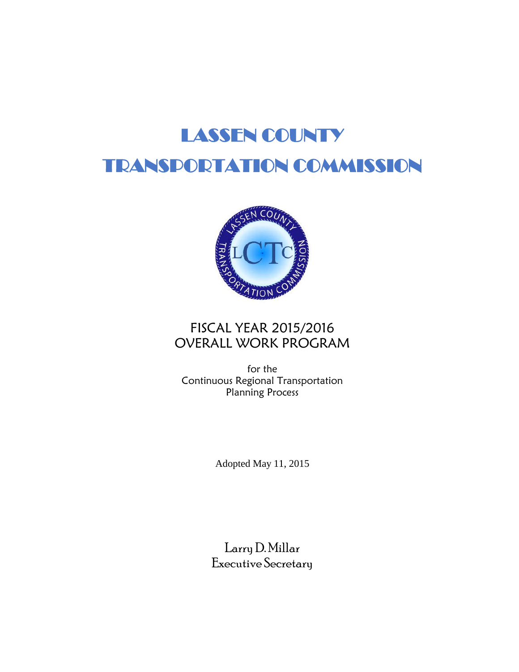# LASSEN COUNTY TRANSPORTATION COMMISSION



# FISCAL YEAR 2015/2016 OVERALL WORK PROGRAM

for the Continuous Regional Transportation Planning Process

Adopted May 11, 2015

Larry D. Millar Executive Secretary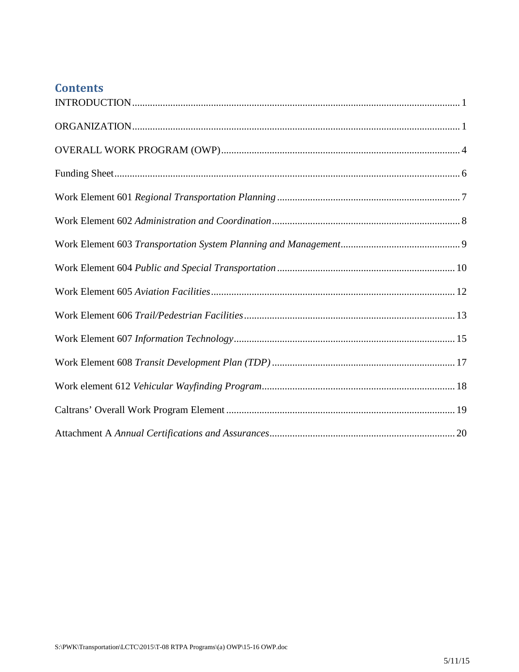# **Contents**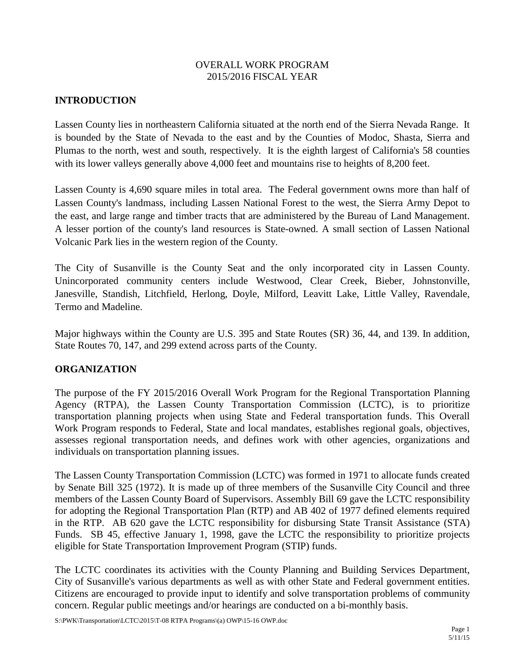#### OVERALL WORK PROGRAM 2015/2016 FISCAL YEAR

# <span id="page-2-0"></span>**INTRODUCTION**

Lassen County lies in northeastern California situated at the north end of the Sierra Nevada Range. It is bounded by the State of Nevada to the east and by the Counties of Modoc, Shasta, Sierra and Plumas to the north, west and south, respectively. It is the eighth largest of California's 58 counties with its lower valleys generally above 4,000 feet and mountains rise to heights of 8,200 feet.

Lassen County is 4,690 square miles in total area. The Federal government owns more than half of Lassen County's landmass, including Lassen National Forest to the west, the Sierra Army Depot to the east, and large range and timber tracts that are administered by the Bureau of Land Management. A lesser portion of the county's land resources is State-owned. A small section of Lassen National Volcanic Park lies in the western region of the County.

The City of Susanville is the County Seat and the only incorporated city in Lassen County. Unincorporated community centers include Westwood, Clear Creek, Bieber, Johnstonville, Janesville, Standish, Litchfield, Herlong, Doyle, Milford, Leavitt Lake, Little Valley, Ravendale, Termo and Madeline.

Major highways within the County are U.S. 395 and State Routes (SR) 36, 44, and 139. In addition, State Routes 70, 147, and 299 extend across parts of the County.

#### <span id="page-2-1"></span>**ORGANIZATION**

The purpose of the FY 2015/2016 Overall Work Program for the Regional Transportation Planning Agency (RTPA), the Lassen County Transportation Commission (LCTC), is to prioritize transportation planning projects when using State and Federal transportation funds. This Overall Work Program responds to Federal, State and local mandates, establishes regional goals, objectives, assesses regional transportation needs, and defines work with other agencies, organizations and individuals on transportation planning issues.

The Lassen County Transportation Commission (LCTC) was formed in 1971 to allocate funds created by Senate Bill 325 (1972). It is made up of three members of the Susanville City Council and three members of the Lassen County Board of Supervisors. Assembly Bill 69 gave the LCTC responsibility for adopting the Regional Transportation Plan (RTP) and AB 402 of 1977 defined elements required in the RTP. AB 620 gave the LCTC responsibility for disbursing State Transit Assistance (STA) Funds. SB 45, effective January 1, 1998, gave the LCTC the responsibility to prioritize projects eligible for State Transportation Improvement Program (STIP) funds.

The LCTC coordinates its activities with the County Planning and Building Services Department, City of Susanville's various departments as well as with other State and Federal government entities. Citizens are encouraged to provide input to identify and solve transportation problems of community concern. Regular public meetings and/or hearings are conducted on a bi-monthly basis.

S:\PWK\Transportation\LCTC\2015\T-08 RTPA Programs\(a) OWP\15-16 OWP.doc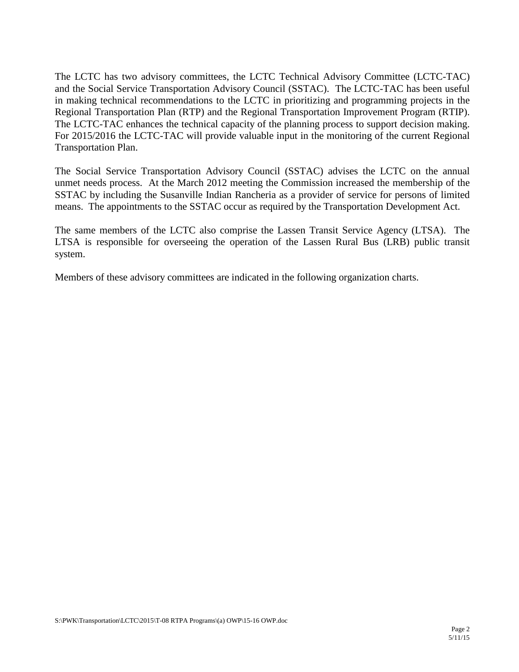The LCTC has two advisory committees, the LCTC Technical Advisory Committee (LCTC-TAC) and the Social Service Transportation Advisory Council (SSTAC). The LCTC-TAC has been useful in making technical recommendations to the LCTC in prioritizing and programming projects in the Regional Transportation Plan (RTP) and the Regional Transportation Improvement Program (RTIP). The LCTC-TAC enhances the technical capacity of the planning process to support decision making. For 2015/2016 the LCTC-TAC will provide valuable input in the monitoring of the current Regional Transportation Plan.

The Social Service Transportation Advisory Council (SSTAC) advises the LCTC on the annual unmet needs process. At the March 2012 meeting the Commission increased the membership of the SSTAC by including the Susanville Indian Rancheria as a provider of service for persons of limited means. The appointments to the SSTAC occur as required by the Transportation Development Act.

The same members of the LCTC also comprise the Lassen Transit Service Agency (LTSA). The LTSA is responsible for overseeing the operation of the Lassen Rural Bus (LRB) public transit system.

Members of these advisory committees are indicated in the following organization charts.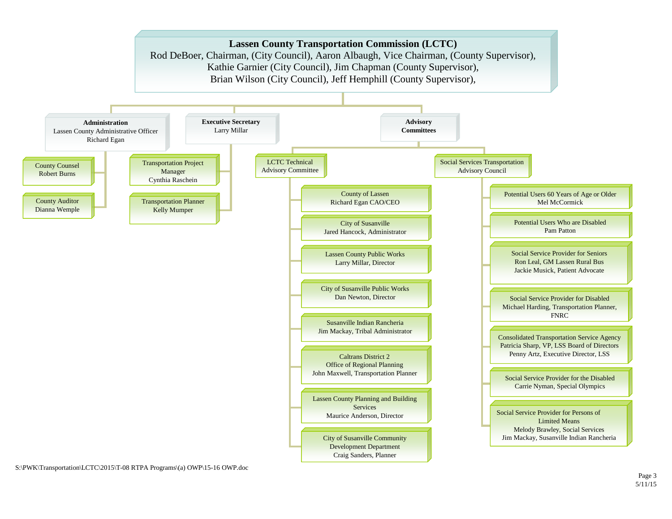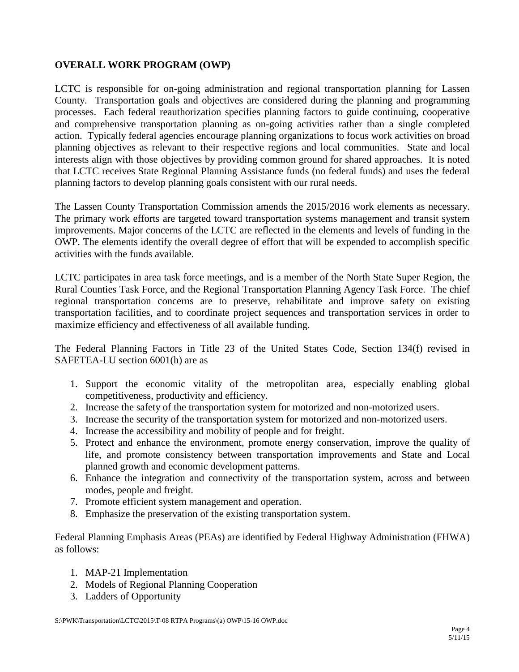# <span id="page-5-0"></span>**OVERALL WORK PROGRAM (OWP)**

LCTC is responsible for on-going administration and regional transportation planning for Lassen County. Transportation goals and objectives are considered during the planning and programming processes. Each federal reauthorization specifies planning factors to guide continuing, cooperative and comprehensive transportation planning as on-going activities rather than a single completed action. Typically federal agencies encourage planning organizations to focus work activities on broad planning objectives as relevant to their respective regions and local communities. State and local interests align with those objectives by providing common ground for shared approaches. It is noted that LCTC receives State Regional Planning Assistance funds (no federal funds) and uses the federal planning factors to develop planning goals consistent with our rural needs.

The Lassen County Transportation Commission amends the 2015/2016 work elements as necessary. The primary work efforts are targeted toward transportation systems management and transit system improvements. Major concerns of the LCTC are reflected in the elements and levels of funding in the OWP. The elements identify the overall degree of effort that will be expended to accomplish specific activities with the funds available.

LCTC participates in area task force meetings, and is a member of the North State Super Region, the Rural Counties Task Force, and the Regional Transportation Planning Agency Task Force. The chief regional transportation concerns are to preserve, rehabilitate and improve safety on existing transportation facilities, and to coordinate project sequences and transportation services in order to maximize efficiency and effectiveness of all available funding.

The Federal Planning Factors in Title 23 of the United States Code, Section 134(f) revised in SAFETEA-LU section 6001(h) are as

- 1. Support the economic vitality of the metropolitan area, especially enabling global competitiveness, productivity and efficiency.
- 2. Increase the safety of the transportation system for motorized and non-motorized users.
- 3. Increase the security of the transportation system for motorized and non-motorized users.
- 4. Increase the accessibility and mobility of people and for freight.
- 5. Protect and enhance the environment, promote energy conservation, improve the quality of life, and promote consistency between transportation improvements and State and Local planned growth and economic development patterns.
- 6. Enhance the integration and connectivity of the transportation system, across and between modes, people and freight.
- 7. Promote efficient system management and operation.
- 8. Emphasize the preservation of the existing transportation system.

Federal Planning Emphasis Areas (PEAs) are identified by Federal Highway Administration (FHWA) as follows:

- 1. MAP-21 Implementation
- 2. Models of Regional Planning Cooperation
- 3. Ladders of Opportunity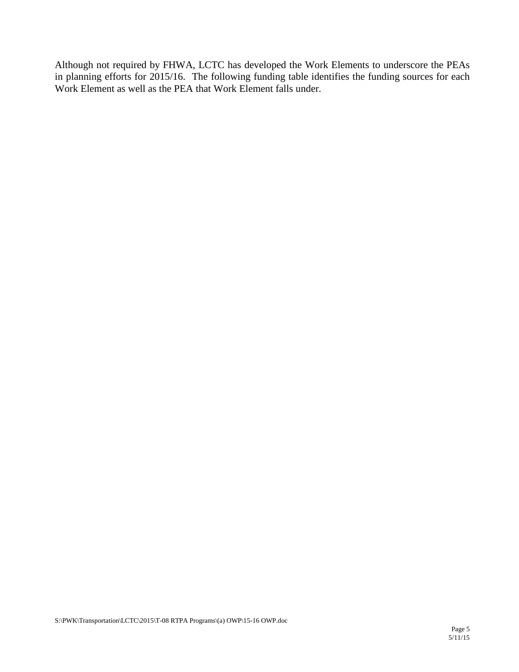Although not required by FHWA, LCTC has developed the Work Elements to underscore the PEAs in planning efforts for 2015/16. The following funding table identifies the funding sources for each Work Element as well as the PEA that Work Element falls under.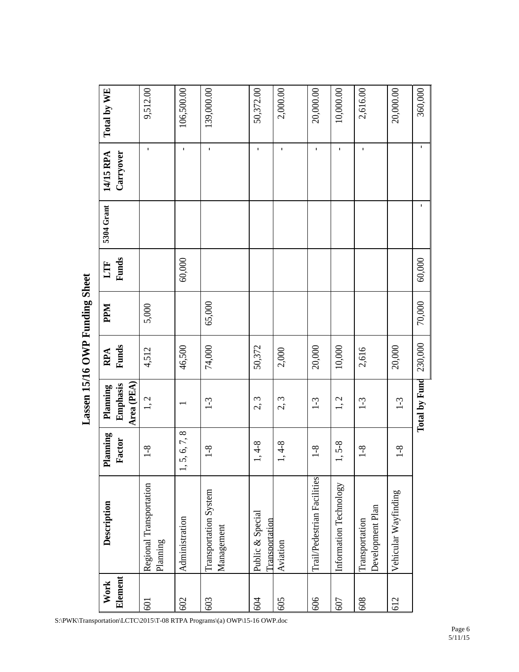<span id="page-7-0"></span>

|         |                                     |               |                        |              | b          |              |             |              |             |
|---------|-------------------------------------|---------------|------------------------|--------------|------------|--------------|-------------|--------------|-------------|
| Work    | Description                         | Planning      | Planning               | RPA          | <b>Ndd</b> | LTF          | 5304 Grant  | 14/15 RPA    | Total by WE |
| Element |                                     | Factor        | Emphasis<br>Area (PEA) | <b>Funds</b> |            | <b>Funds</b> |             | Carryover    |             |
| 501     | Regional Transportation<br>Planning | $1 - 8$       | 1, 2                   | 4,512        | 5,000      |              |             | $\mathbf{I}$ | 9,512.00    |
| 602     | Administration                      | 1, 5, 6, 7, 8 |                        | 46,500       |            | 60,000       |             | $\mathbf{I}$ | 106,500.00  |
| 603     | Transportation System<br>Management | $1 - 8$       | $1-3$                  | 74,000       | 65,000     |              |             | $\mathbf{I}$ | 139,000.00  |
| 604     | Public & Special<br>Transportation  | $1, 4-8$      | 2, 3                   | 50,372       |            |              |             | $\mathbf I$  | 50,372.00   |
| 605     | Aviation                            | $1, 4-8$      | 2, 3                   | 2,000        |            |              |             | $\mathbf I$  | 2,000.00    |
| 909     | Trail/Pedestrian Facilities         | $1 - 8$       | $1-3$                  | 20,000       |            |              |             | $\mathbf I$  | 20,000.00   |
| 607     | Information Technology              | $1, 5-8$      | 1, 2                   | 10,000       |            |              |             | $\mathbf{I}$ | 10,000.00   |
| 608     | Development Plan<br>Transportation  | $1-8$         | $1 - 3$                | 2,616        |            |              |             | $\mathbf{I}$ | 2,616.00    |
| 612     | Vehicular Wayfinding                | $1 - 8$       | $1-3$                  | 20,000       |            |              |             |              | 20,000.00   |
|         |                                     |               | Total by Fund 230,000  |              | 70,000     | 60,000       | $\mathbf I$ | $\mathbf I$  | 360,000     |

Lassen 15/16 OWP Funding Sheet **Lassen 15/16 OWP Funding Sheet**

S:\PWK\Transportation\LCTC\2015\T-08 RTPA Programs\(a) OWP\15-16 OWP.doc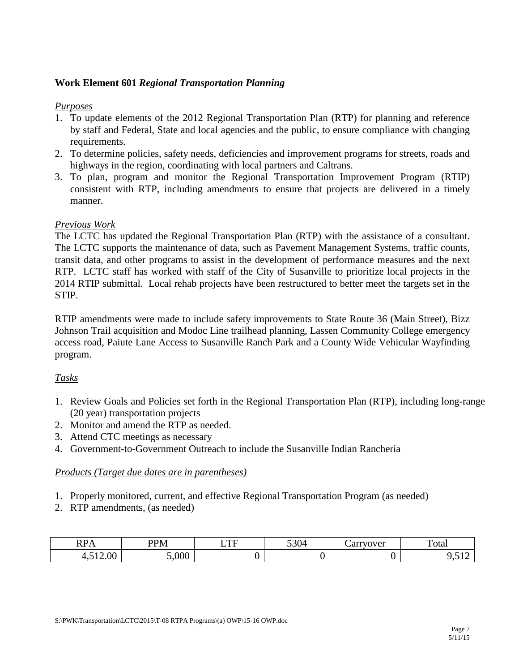### <span id="page-8-0"></span>**Work Element 601** *Regional Transportation Planning*

#### *Purposes*

- 1. To update elements of the 2012 Regional Transportation Plan (RTP) for planning and reference by staff and Federal, State and local agencies and the public, to ensure compliance with changing requirements.
- 2. To determine policies, safety needs, deficiencies and improvement programs for streets, roads and highways in the region, coordinating with local partners and Caltrans.
- 3. To plan, program and monitor the Regional Transportation Improvement Program (RTIP) consistent with RTP, including amendments to ensure that projects are delivered in a timely manner.

#### *Previous Work*

The LCTC has updated the Regional Transportation Plan (RTP) with the assistance of a consultant. The LCTC supports the maintenance of data, such as Pavement Management Systems, traffic counts, transit data, and other programs to assist in the development of performance measures and the next RTP. LCTC staff has worked with staff of the City of Susanville to prioritize local projects in the 2014 RTIP submittal. Local rehab projects have been restructured to better meet the targets set in the STIP.

RTIP amendments were made to include safety improvements to State Route 36 (Main Street), Bizz Johnson Trail acquisition and Modoc Line trailhead planning, Lassen Community College emergency access road, Paiute Lane Access to Susanville Ranch Park and a County Wide Vehicular Wayfinding program.

#### *Tasks*

- 1. Review Goals and Policies set forth in the Regional Transportation Plan (RTP), including long-range (20 year) transportation projects
- 2. Monitor and amend the RTP as needed.
- 3. Attend CTC meetings as necessary
- 4. Government-to-Government Outreach to include the Susanville Indian Rancheria

- 1. Properly monitored, current, and effective Regional Transportation Program (as needed)
- 2. RTP amendments, (as needed)

| DD <sub>A</sub><br>$\mathbf{M}$   | <b>PPM</b> | $\blacksquare$<br>. .<br>- | $\sim$ 0.0 $\prime$<br>– 20 ل | arrvover | ᠇<br>otal  |
|-----------------------------------|------------|----------------------------|-------------------------------|----------|------------|
| $\Omega$<br>$-12$<br>4.⊽<br>14.00 | 000.       |                            |                               |          | , <u>.</u> |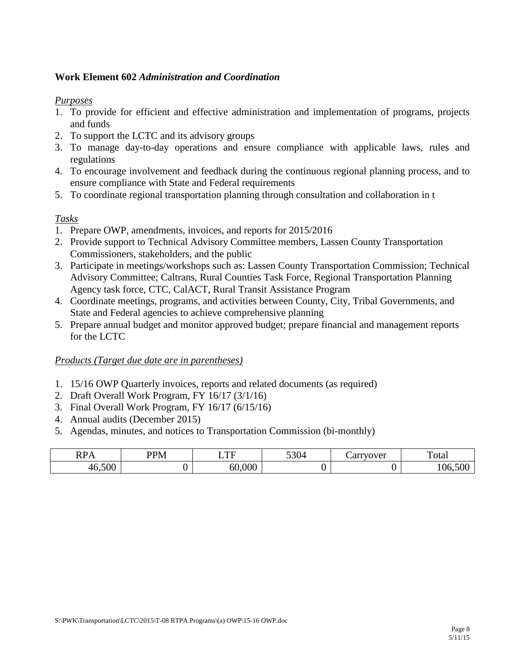#### <span id="page-9-0"></span>**Work Element 602** *Administration and Coordination*

#### *Purposes*

- 1. To provide for efficient and effective administration and implementation of programs, projects and funds
- 2. To support the LCTC and its advisory groups
- 3. To manage day-to-day operations and ensure compliance with applicable laws, rules and regulations
- 4. To encourage involvement and feedback during the continuous regional planning process, and to ensure compliance with State and Federal requirements
- 5. To coordinate regional transportation planning through consultation and collaboration in t

# *Tasks*

- 1. Prepare OWP, amendments, invoices, and reports for 2015/2016
- 2. Provide support to Technical Advisory Committee members, Lassen County Transportation Commissioners, stakeholders, and the public
- 3. Participate in meetings/workshops such as: Lassen County Transportation Commission; Technical Advisory Committee; Caltrans, Rural Counties Task Force, Regional Transportation Planning Agency task force, CTC, CalACT, Rural Transit Assistance Program
- 4. Coordinate meetings, programs, and activities between County, City, Tribal Governments, and State and Federal agencies to achieve comprehensive planning
- 5. Prepare annual budget and monitor approved budget; prepare financial and management reports for the LCTC

- 1. 15/16 OWP Quarterly invoices, reports and related documents (as required)
- 2. Draft Overall Work Program, FY 16/17 (3/1/16)
- 3. Final Overall Work Program, FY 16/17 (6/15/16)
- 4. Annual audits (December 2015)
- 5. Agendas, minutes, and notices to Transportation Commission (bi-monthly)

| DD.<br>$\sim$<br>111 1 1 | DDM A<br>レハ | $\blacksquare$<br>-                               | $\sim$ 0.4<br>ĸ | $0$ in the $10^{10}$<br>7 V.L<br>ーー | otal |
|--------------------------|-------------|---------------------------------------------------|-----------------|-------------------------------------|------|
| $F\cap\cap$              |             | $\Omega$<br>$\overline{\phantom{a}}$<br>ու<br>. . |                 |                                     |      |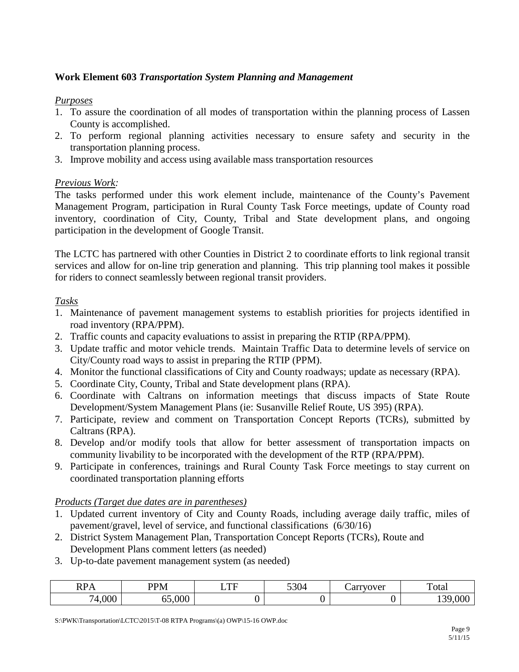# <span id="page-10-0"></span>**Work Element 603** *Transportation System Planning and Management*

#### *Purposes*

- 1. To assure the coordination of all modes of transportation within the planning process of Lassen County is accomplished.
- 2. To perform regional planning activities necessary to ensure safety and security in the transportation planning process.
- 3. Improve mobility and access using available mass transportation resources

#### *Previous Work:*

The tasks performed under this work element include, maintenance of the County's Pavement Management Program, participation in Rural County Task Force meetings, update of County road inventory, coordination of City, County, Tribal and State development plans, and ongoing participation in the development of Google Transit.

The LCTC has partnered with other Counties in District 2 to coordinate efforts to link regional transit services and allow for on-line trip generation and planning. This trip planning tool makes it possible for riders to connect seamlessly between regional transit providers.

#### *Tasks*

- 1. Maintenance of pavement management systems to establish priorities for projects identified in road inventory (RPA/PPM).
- 2. Traffic counts and capacity evaluations to assist in preparing the RTIP (RPA/PPM).
- 3. Update traffic and motor vehicle trends. Maintain Traffic Data to determine levels of service on City/County road ways to assist in preparing the RTIP (PPM).
- 4. Monitor the functional classifications of City and County roadways; update as necessary (RPA).
- 5. Coordinate City, County, Tribal and State development plans (RPA).
- 6. Coordinate with Caltrans on information meetings that discuss impacts of State Route Development/System Management Plans (ie: Susanville Relief Route, US 395) (RPA).
- 7. Participate, review and comment on Transportation Concept Reports (TCRs), submitted by Caltrans (RPA).
- 8. Develop and/or modify tools that allow for better assessment of transportation impacts on community livability to be incorporated with the development of the RTP (RPA/PPM).
- 9. Participate in conferences, trainings and Rural County Task Force meetings to stay current on coordinated transportation planning efforts

#### *Products (Target due dates are in parentheses)*

- 1. Updated current inventory of City and County Roads, including average daily traffic, miles of pavement/gravel, level of service, and functional classifications (6/30/16)
- 2. District System Management Plan, Transportation Concept Reports (TCRs), Route and Development Plans comment letters (as needed)
- 3. Up-to-date pavement management system (as needed)

| $\sum_{i=1}^{n}$<br>D<br><b>KPA</b> | <b>DD</b><br>12 N/I<br><b>TAT</b> | TTT<br>.<br>- | 5201<br>23U4 | rvover<br>∩≁<br>di i | ᠁<br>Total      |
|-------------------------------------|-----------------------------------|---------------|--------------|----------------------|-----------------|
| 000,1                               | 000,<br>- -                       |               |              |                      | 30<br>000<br>⊥ື |

S:\PWK\Transportation\LCTC\2015\T-08 RTPA Programs\(a) OWP\15-16 OWP.doc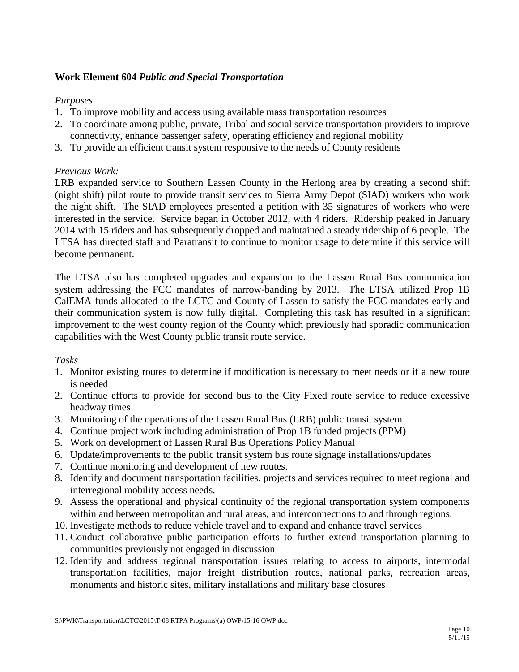#### <span id="page-11-0"></span>**Work Element 604** *Public and Special Transportation*

#### *Purposes*

- 1. To improve mobility and access using available mass transportation resources
- 2. To coordinate among public, private, Tribal and social service transportation providers to improve connectivity, enhance passenger safety, operating efficiency and regional mobility
- 3. To provide an efficient transit system responsive to the needs of County residents

#### *Previous Work:*

LRB expanded service to Southern Lassen County in the Herlong area by creating a second shift (night shift) pilot route to provide transit services to Sierra Army Depot (SIAD) workers who work the night shift. The SIAD employees presented a petition with 35 signatures of workers who were interested in the service. Service began in October 2012, with 4 riders. Ridership peaked in January 2014 with 15 riders and has subsequently dropped and maintained a steady ridership of 6 people. The LTSA has directed staff and Paratransit to continue to monitor usage to determine if this service will become permanent.

The LTSA also has completed upgrades and expansion to the Lassen Rural Bus communication system addressing the FCC mandates of narrow-banding by 2013. The LTSA utilized Prop 1B CalEMA funds allocated to the LCTC and County of Lassen to satisfy the FCC mandates early and their communication system is now fully digital. Completing this task has resulted in a significant improvement to the west county region of the County which previously had sporadic communication capabilities with the West County public transit route service.

# *Tasks*

- 1. Monitor existing routes to determine if modification is necessary to meet needs or if a new route is needed
- 2. Continue efforts to provide for second bus to the City Fixed route service to reduce excessive headway times
- 3. Monitoring of the operations of the Lassen Rural Bus (LRB) public transit system
- 4. Continue project work including administration of Prop 1B funded projects (PPM)
- 5. Work on development of Lassen Rural Bus Operations Policy Manual
- 6. Update/improvements to the public transit system bus route signage installations/updates
- 7. Continue monitoring and development of new routes.
- 8. Identify and document transportation facilities, projects and services required to meet regional and interregional mobility access needs.
- 9. Assess the operational and physical continuity of the regional transportation system components within and between metropolitan and rural areas, and interconnections to and through regions.
- 10. Investigate methods to reduce vehicle travel and to expand and enhance travel services
- 11. Conduct collaborative public participation efforts to further extend transportation planning to communities previously not engaged in discussion
- 12. Identify and address regional transportation issues relating to access to airports, intermodal transportation facilities, major freight distribution routes, national parks, recreation areas, monuments and historic sites, military installations and military base closures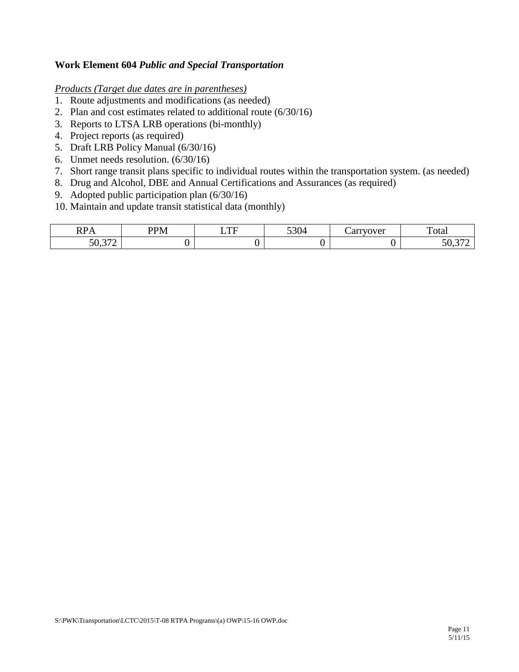#### **Work Element 604** *Public and Special Transportation*

- 1. Route adjustments and modifications (as needed)
- 2. Plan and cost estimates related to additional route (6/30/16)
- 3. Reports to LTSA LRB operations (bi-monthly)
- 4. Project reports (as required)
- 5. Draft LRB Policy Manual (6/30/16)
- 6. Unmet needs resolution. (6/30/16)
- 7. Short range transit plans specific to individual routes within the transportation system. (as needed)
- 8. Drug and Alcohol, DBE and Annual Certifications and Assurances (as required)
- 9. Adopted public participation plan (6/30/16)
- 10. Maintain and update transit statistical data (monthly)

| <b>DD</b><br>$\overline{\phantom{a}}$             | ו התח<br>1 Y T | TTT | $\sim$<br>V | $\alpha$ $\mu$ $\alpha$ $\alpha$ $\alpha$ $\alpha$ $\alpha$<br>`vi | <u>гт</u><br>'otal                                             |
|---------------------------------------------------|----------------|-----|-------------|--------------------------------------------------------------------|----------------------------------------------------------------|
| $\sim$ $\sim$<br>$\overline{\phantom{a}}$<br>JU.J |                |     |             |                                                                    | $\sim$ $\sim$<br>$\sim$ $\sim$ $\sim$<br>$\boldsymbol{\omega}$ |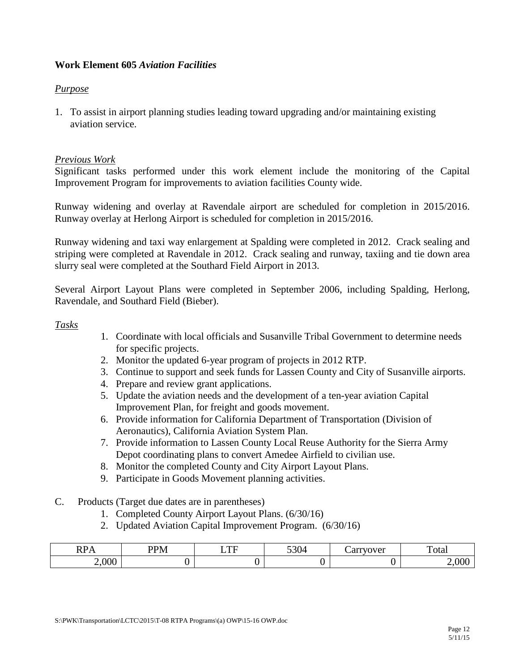### <span id="page-13-0"></span>**Work Element 605** *Aviation Facilities*

#### *Purpose*

1. To assist in airport planning studies leading toward upgrading and/or maintaining existing aviation service.

#### *Previous Work*

Significant tasks performed under this work element include the monitoring of the Capital Improvement Program for improvements to aviation facilities County wide.

Runway widening and overlay at Ravendale airport are scheduled for completion in 2015/2016. Runway overlay at Herlong Airport is scheduled for completion in 2015/2016.

Runway widening and taxi way enlargement at Spalding were completed in 2012. Crack sealing and striping were completed at Ravendale in 2012. Crack sealing and runway, taxiing and tie down area slurry seal were completed at the Southard Field Airport in 2013.

Several Airport Layout Plans were completed in September 2006, including Spalding, Herlong, Ravendale, and Southard Field (Bieber).

#### *Tasks*

- 1. Coordinate with local officials and Susanville Tribal Government to determine needs for specific projects.
- 2. Monitor the updated 6-year program of projects in 2012 RTP.
- 3. Continue to support and seek funds for Lassen County and City of Susanville airports.
- 4. Prepare and review grant applications.
- 5. Update the aviation needs and the development of a ten-year aviation Capital Improvement Plan, for freight and goods movement.
- 6. Provide information for California Department of Transportation (Division of Aeronautics), California Aviation System Plan.
- 7. Provide information to Lassen County Local Reuse Authority for the Sierra Army Depot coordinating plans to convert Amedee Airfield to civilian use.
- 8. Monitor the completed County and City Airport Layout Plans.
- 9. Participate in Goods Movement planning activities.
- C. Products (Target due dates are in parentheses)
	- 1. Completed County Airport Layout Plans. (6/30/16)
	- 2. Updated Aviation Capital Improvement Program. (6/30/16)

| $\mathbf{D}$<br>.<br>. . | -<br>DD. | $\blacksquare$ | $\sim$ $\sim$ | $T\bigcap T$<br>◡ | otal |
|--------------------------|----------|----------------|---------------|-------------------|------|
| <b>OOO</b><br>ึ          |          |                |               |                   |      |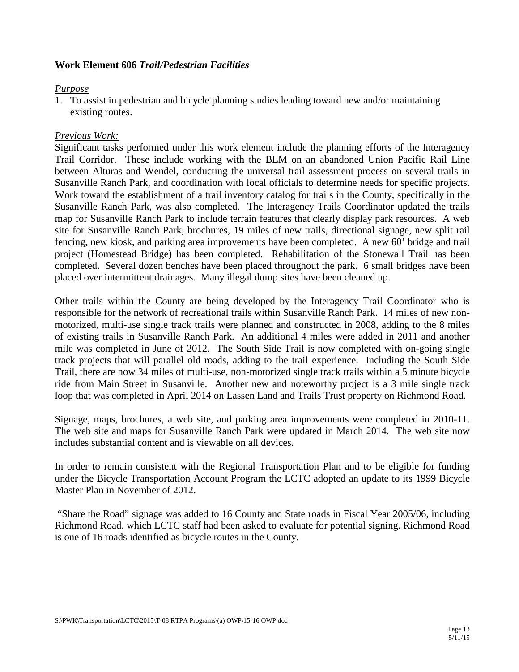#### <span id="page-14-0"></span>**Work Element 606** *Trail/Pedestrian Facilities*

#### *Purpose*

1. To assist in pedestrian and bicycle planning studies leading toward new and/or maintaining existing routes.

# *Previous Work:*

Significant tasks performed under this work element include the planning efforts of the Interagency Trail Corridor. These include working with the BLM on an abandoned Union Pacific Rail Line between Alturas and Wendel, conducting the universal trail assessment process on several trails in Susanville Ranch Park, and coordination with local officials to determine needs for specific projects. Work toward the establishment of a trail inventory catalog for trails in the County, specifically in the Susanville Ranch Park, was also completed. The Interagency Trails Coordinator updated the trails map for Susanville Ranch Park to include terrain features that clearly display park resources. A web site for Susanville Ranch Park, brochures, 19 miles of new trails, directional signage, new split rail fencing, new kiosk, and parking area improvements have been completed. A new 60' bridge and trail project (Homestead Bridge) has been completed. Rehabilitation of the Stonewall Trail has been completed. Several dozen benches have been placed throughout the park. 6 small bridges have been placed over intermittent drainages. Many illegal dump sites have been cleaned up.

Other trails within the County are being developed by the Interagency Trail Coordinator who is responsible for the network of recreational trails within Susanville Ranch Park. 14 miles of new nonmotorized, multi-use single track trails were planned and constructed in 2008, adding to the 8 miles of existing trails in Susanville Ranch Park. An additional 4 miles were added in 2011 and another mile was completed in June of 2012. The South Side Trail is now completed with on-going single track projects that will parallel old roads, adding to the trail experience. Including the South Side Trail, there are now 34 miles of multi-use, non-motorized single track trails within a 5 minute bicycle ride from Main Street in Susanville. Another new and noteworthy project is a 3 mile single track loop that was completed in April 2014 on Lassen Land and Trails Trust property on Richmond Road.

Signage, maps, brochures, a web site, and parking area improvements were completed in 2010-11. The web site and maps for Susanville Ranch Park were updated in March 2014. The web site now includes substantial content and is viewable on all devices.

In order to remain consistent with the Regional Transportation Plan and to be eligible for funding under the Bicycle Transportation Account Program the LCTC adopted an update to its 1999 Bicycle Master Plan in November of 2012.

"Share the Road" signage was added to 16 County and State roads in Fiscal Year 2005/06, including Richmond Road, which LCTC staff had been asked to evaluate for potential signing. Richmond Road is one of 16 roads identified as bicycle routes in the County.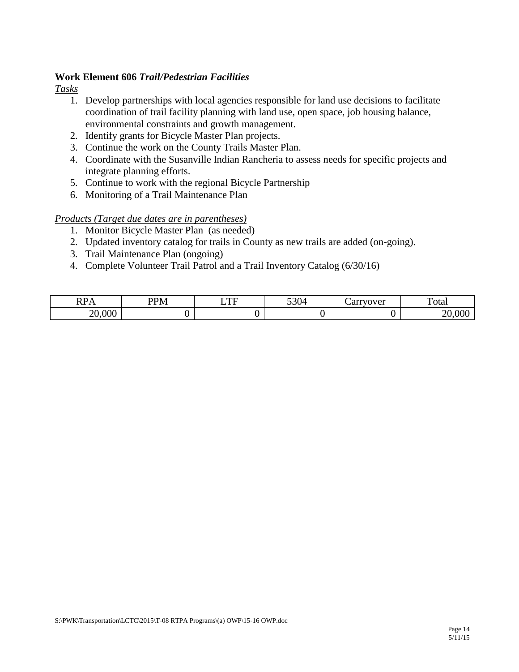#### **Work Element 606** *Trail/Pedestrian Facilities*

*Tasks*

- 1. Develop partnerships with local agencies responsible for land use decisions to facilitate coordination of trail facility planning with land use, open space, job housing balance, environmental constraints and growth management.
- 2. Identify grants for Bicycle Master Plan projects.
- 3. Continue the work on the County Trails Master Plan.
- 4. Coordinate with the Susanville Indian Rancheria to assess needs for specific projects and integrate planning efforts.
- 5. Continue to work with the regional Bicycle Partnership
- 6. Monitoring of a Trail Maintenance Plan

- 1. Monitor Bicycle Master Plan (as needed)
- 2. Updated inventory catalog for trails in County as new trails are added (on-going).
- 3. Trail Maintenance Plan (ongoing)
- 4. Complete Volunteer Trail Patrol and a Trail Inventory Catalog (6/30/16)

| n <sub>n</sub><br>IM A | PPM<br><b>IVI</b> | $\blacksquare$<br>-<br>. . | $\sim$ 0.0<br>JJV- | ັ | <u>гт</u><br><b>Cota</b> |
|------------------------|-------------------|----------------------------|--------------------|---|--------------------------|
| .000<br>$\cap$<br>∽    |                   |                            |                    |   |                          |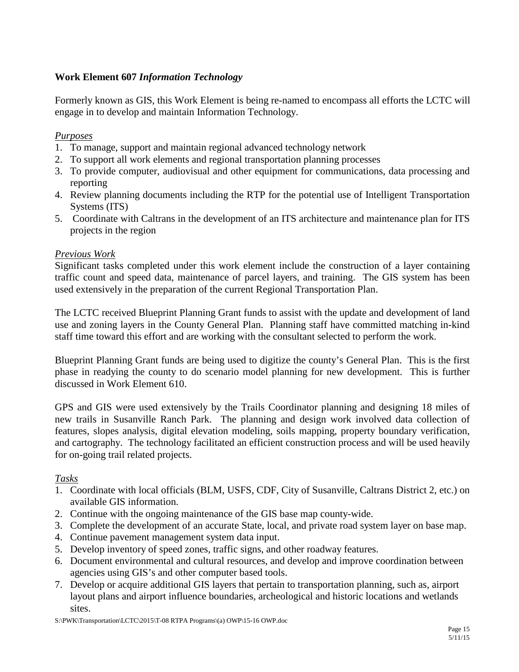# <span id="page-16-0"></span>**Work Element 607** *Information Technology*

Formerly known as GIS, this Work Element is being re-named to encompass all efforts the LCTC will engage in to develop and maintain Information Technology.

# *Purposes*

- 1. To manage, support and maintain regional advanced technology network
- 2. To support all work elements and regional transportation planning processes
- 3. To provide computer, audiovisual and other equipment for communications, data processing and reporting
- 4. Review planning documents including the RTP for the potential use of Intelligent Transportation Systems (ITS)
- 5. Coordinate with Caltrans in the development of an ITS architecture and maintenance plan for ITS projects in the region

# *Previous Work*

Significant tasks completed under this work element include the construction of a layer containing traffic count and speed data, maintenance of parcel layers, and training. The GIS system has been used extensively in the preparation of the current Regional Transportation Plan.

The LCTC received Blueprint Planning Grant funds to assist with the update and development of land use and zoning layers in the County General Plan. Planning staff have committed matching in-kind staff time toward this effort and are working with the consultant selected to perform the work.

Blueprint Planning Grant funds are being used to digitize the county's General Plan. This is the first phase in readying the county to do scenario model planning for new development. This is further discussed in Work Element 610.

GPS and GIS were used extensively by the Trails Coordinator planning and designing 18 miles of new trails in Susanville Ranch Park. The planning and design work involved data collection of features, slopes analysis, digital elevation modeling, soils mapping, property boundary verification, and cartography. The technology facilitated an efficient construction process and will be used heavily for on-going trail related projects.

#### *Tasks*

- 1. Coordinate with local officials (BLM, USFS, CDF, City of Susanville, Caltrans District 2, etc.) on available GIS information.
- 2. Continue with the ongoing maintenance of the GIS base map county-wide.
- 3. Complete the development of an accurate State, local, and private road system layer on base map.
- 4. Continue pavement management system data input.
- 5. Develop inventory of speed zones, traffic signs, and other roadway features.
- 6. Document environmental and cultural resources, and develop and improve coordination between agencies using GIS's and other computer based tools.
- 7. Develop or acquire additional GIS layers that pertain to transportation planning, such as, airport layout plans and airport influence boundaries, archeological and historic locations and wetlands sites.

S:\PWK\Transportation\LCTC\2015\T-08 RTPA Programs\(a) OWP\15-16 OWP.doc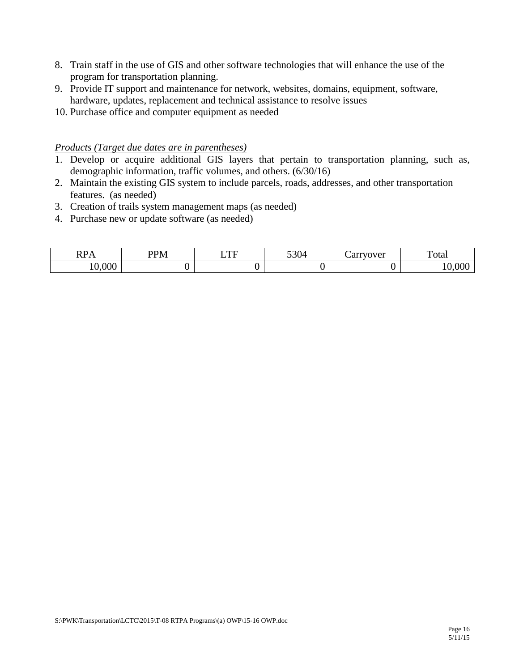- 8. Train staff in the use of GIS and other software technologies that will enhance the use of the program for transportation planning.
- 9. Provide IT support and maintenance for network, websites, domains, equipment, software, hardware, updates, replacement and technical assistance to resolve issues
- 10. Purchase office and computer equipment as needed

- 1. Develop or acquire additional GIS layers that pertain to transportation planning, such as, demographic information, traffic volumes, and others. (6/30/16)
- 2. Maintain the existing GIS system to include parcels, roads, addresses, and other transportation features. (as needed)
- 3. Creation of trails system management maps (as needed)
- 4. Purchase new or update software (as needed)

| $\mathbf{r}$ | P <sub>nn1</sub> | $\blacksquare$ | 520a | 0.4993703704         | $\sim$ |
|--------------|------------------|----------------|------|----------------------|--------|
| . .          |                  | . .            | v    | $\ddot{\phantom{a}}$ | otal   |
| 000          |                  |                |      |                      |        |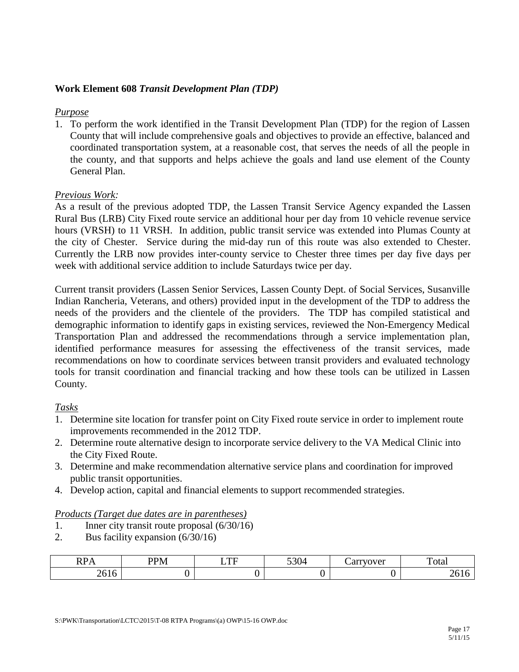#### <span id="page-18-0"></span>**Work Element 608** *Transit Development Plan (TDP)*

#### *Purpose*

1. To perform the work identified in the Transit Development Plan (TDP) for the region of Lassen County that will include comprehensive goals and objectives to provide an effective, balanced and coordinated transportation system, at a reasonable cost, that serves the needs of all the people in the county, and that supports and helps achieve the goals and land use element of the County General Plan.

#### *Previous Work:*

As a result of the previous adopted TDP, the Lassen Transit Service Agency expanded the Lassen Rural Bus (LRB) City Fixed route service an additional hour per day from 10 vehicle revenue service hours (VRSH) to 11 VRSH. In addition, public transit service was extended into Plumas County at the city of Chester. Service during the mid-day run of this route was also extended to Chester. Currently the LRB now provides inter-county service to Chester three times per day five days per week with additional service addition to include Saturdays twice per day.

Current transit providers (Lassen Senior Services, Lassen County Dept. of Social Services, Susanville Indian Rancheria, Veterans, and others) provided input in the development of the TDP to address the needs of the providers and the clientele of the providers. The TDP has compiled statistical and demographic information to identify gaps in existing services, reviewed the Non-Emergency Medical Transportation Plan and addressed the recommendations through a service implementation plan, identified performance measures for assessing the effectiveness of the transit services, made recommendations on how to coordinate services between transit providers and evaluated technology tools for transit coordination and financial tracking and how these tools can be utilized in Lassen County.

#### *Tasks*

- 1. Determine site location for transfer point on City Fixed route service in order to implement route improvements recommended in the 2012 TDP.
- 2. Determine route alternative design to incorporate service delivery to the VA Medical Clinic into the City Fixed Route.
- 3. Determine and make recommendation alternative service plans and coordination for improved public transit opportunities.
- 4. Develop action, capital and financial elements to support recommended strategies.

- 1. Inner city transit route proposal (6/30/16)
- 2. Bus facility expansion (6/30/16)

| ◡                      | $\sim$<br>DD <sub>1</sub> | $\sim$ | $\sim$ $\sim$ | $0.4444$ $10.770.44$ | ' otar |
|------------------------|---------------------------|--------|---------------|----------------------|--------|
| . .<br>$\sim$ 0 $\sim$ |                           |        |               |                      | $\sim$ |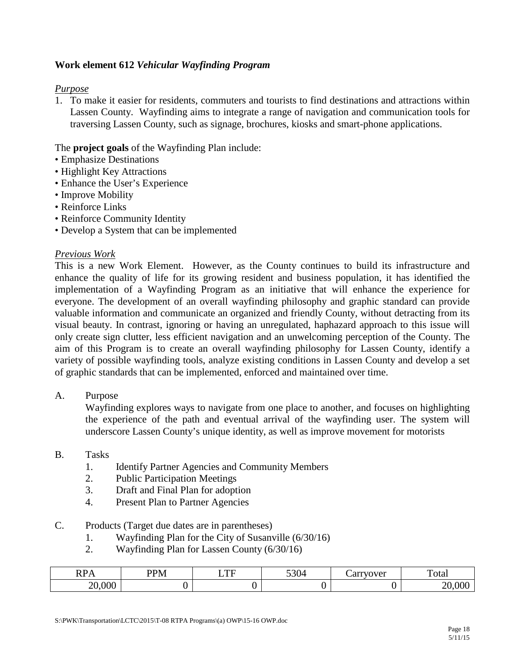### <span id="page-19-0"></span>**Work element 612** *Vehicular Wayfinding Program*

#### *Purpose*

1. To make it easier for residents, commuters and tourists to find destinations and attractions within Lassen County. Wayfinding aims to integrate a range of navigation and communication tools for traversing Lassen County, such as signage, brochures, kiosks and smart-phone applications.

#### The **project goals** of the Wayfinding Plan include:

- Emphasize Destinations
- Highlight Key Attractions
- Enhance the User's Experience
- Improve Mobility
- Reinforce Links
- Reinforce Community Identity
- Develop a System that can be implemented

#### *Previous Work*

This is a new Work Element. However, as the County continues to build its infrastructure and enhance the quality of life for its growing resident and business population, it has identified the implementation of a Wayfinding Program as an initiative that will enhance the experience for everyone. The development of an overall wayfinding philosophy and graphic standard can provide valuable information and communicate an organized and friendly County, without detracting from its visual beauty. In contrast, ignoring or having an unregulated, haphazard approach to this issue will only create sign clutter, less efficient navigation and an unwelcoming perception of the County. The aim of this Program is to create an overall wayfinding philosophy for Lassen County, identify a variety of possible wayfinding tools, analyze existing conditions in Lassen County and develop a set of graphic standards that can be implemented, enforced and maintained over time.

A. Purpose

Wayfinding explores ways to navigate from one place to another, and focuses on highlighting the experience of the path and eventual arrival of the wayfinding user. The system will underscore Lassen County's unique identity, as well as improve movement for motorists

- B. Tasks
	- 1. Identify Partner Agencies and Community Members
	- 2. Public Participation Meetings
	- 3. Draft and Final Plan for adoption
	- 4. Present Plan to Partner Agencies
- C. Products (Target due dates are in parentheses)
	- 1. Wayfinding Plan for the City of Susanville (6/30/16)
	- 2. Wayfinding Plan for Lassen County (6/30/16)

| DD.<br>$\sqrt{ }$ | <b>PPM</b> | $\blacksquare$<br>--- | 5304 | arrvover<br>, س | —<br>Total |
|-------------------|------------|-----------------------|------|-----------------|------------|
| ,000<br>nn        |            |                       |      |                 |            |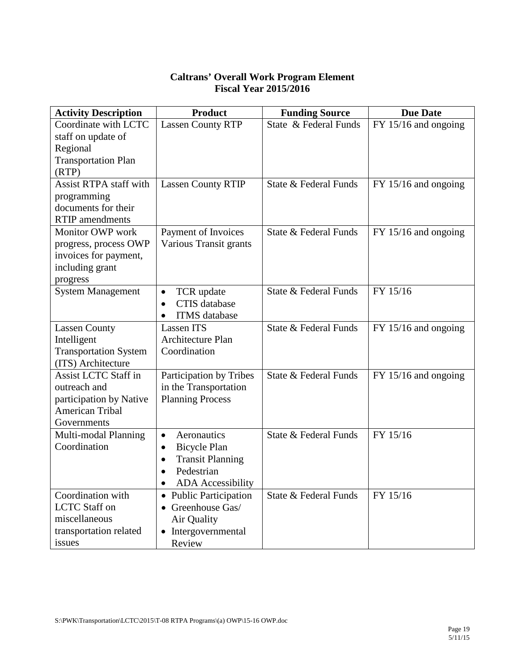# **Caltrans' Overall Work Program Element Fiscal Year 2015/2016**

<span id="page-20-0"></span>

| <b>Activity Description</b>   | <b>Product</b>                        | <b>Funding Source</b> | <b>Due Date</b>        |
|-------------------------------|---------------------------------------|-----------------------|------------------------|
| Coordinate with LCTC          | <b>Lassen County RTP</b>              | State & Federal Funds | $FY$ 15/16 and ongoing |
| staff on update of            |                                       |                       |                        |
| Regional                      |                                       |                       |                        |
| <b>Transportation Plan</b>    |                                       |                       |                        |
| (RTP)                         |                                       |                       |                        |
| <b>Assist RTPA staff with</b> | <b>Lassen County RTIP</b>             | State & Federal Funds | $FY$ 15/16 and ongoing |
| programming                   |                                       |                       |                        |
| documents for their           |                                       |                       |                        |
| <b>RTIP</b> amendments        |                                       |                       |                        |
| Monitor OWP work              | Payment of Invoices                   | State & Federal Funds | $FY$ 15/16 and ongoing |
| progress, process OWP         | Various Transit grants                |                       |                        |
| invoices for payment,         |                                       |                       |                        |
| including grant               |                                       |                       |                        |
| progress                      |                                       |                       |                        |
| <b>System Management</b>      | TCR update<br>$\bullet$               | State & Federal Funds | FY 15/16               |
|                               | <b>CTIS</b> database<br>$\bullet$     |                       |                        |
|                               | <b>ITMS</b> database<br>$\bullet$     |                       |                        |
| <b>Lassen County</b>          | <b>Lassen ITS</b>                     | State & Federal Funds | $FY$ 15/16 and ongoing |
| Intelligent                   | Architecture Plan                     |                       |                        |
| <b>Transportation System</b>  | Coordination                          |                       |                        |
| (ITS) Architecture            |                                       |                       |                        |
| <b>Assist LCTC Staff in</b>   | Participation by Tribes               | State & Federal Funds | $FY$ 15/16 and ongoing |
| outreach and                  | in the Transportation                 |                       |                        |
| participation by Native       | <b>Planning Process</b>               |                       |                        |
| American Tribal               |                                       |                       |                        |
| Governments                   |                                       |                       |                        |
| Multi-modal Planning          | Aeronautics<br>$\bullet$              | State & Federal Funds | FY 15/16               |
| Coordination                  | <b>Bicycle Plan</b><br>$\bullet$      |                       |                        |
|                               | <b>Transit Planning</b><br>$\bullet$  |                       |                        |
|                               | Pedestrian<br>$\bullet$               |                       |                        |
|                               | <b>ADA</b> Accessibility<br>$\bullet$ |                       |                        |
| Coordination with             | • Public Participation                | State & Federal Funds | FY 15/16               |
| <b>LCTC</b> Staff on          | $\bullet$ Greenhouse Gas/             |                       |                        |
| miscellaneous                 | Air Quality                           |                       |                        |
| transportation related        | • Intergovernmental                   |                       |                        |
| issues                        | Review                                |                       |                        |